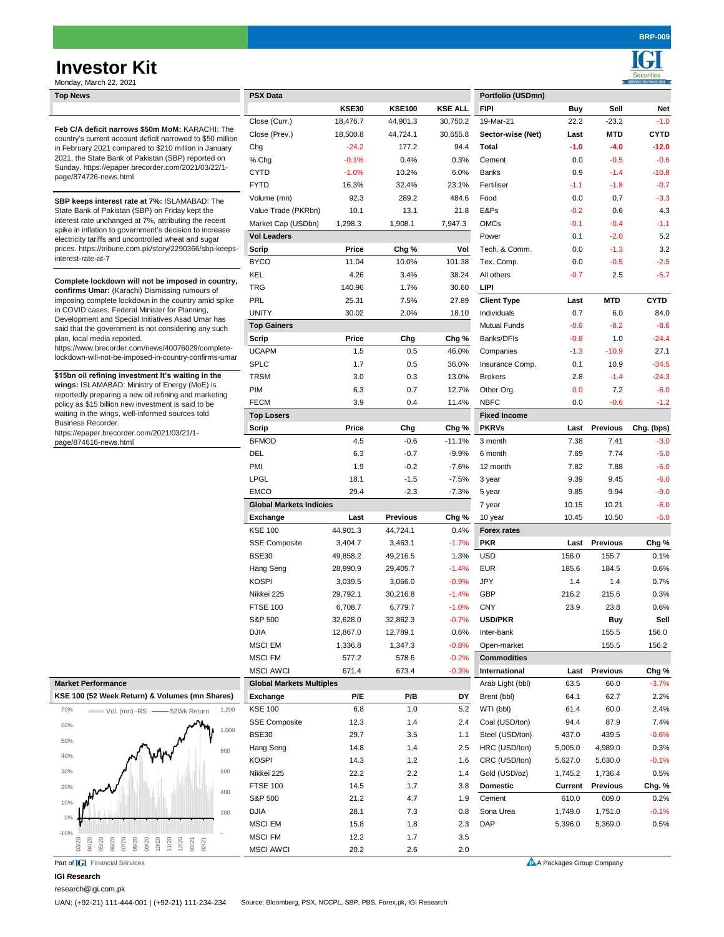# **Investor Kit**

**Securiti** 

| Monday, March 22, 2021                                                                                                                                                                                                                                                                                                                                                                                                                                                  |                                 |              |                 |                |                     |                |                 | SERVING YOU SINCE 1994 |
|-------------------------------------------------------------------------------------------------------------------------------------------------------------------------------------------------------------------------------------------------------------------------------------------------------------------------------------------------------------------------------------------------------------------------------------------------------------------------|---------------------------------|--------------|-----------------|----------------|---------------------|----------------|-----------------|------------------------|
| <b>Top News</b>                                                                                                                                                                                                                                                                                                                                                                                                                                                         | <b>PSX Data</b>                 |              |                 |                | Portfolio (USDmn)   |                |                 |                        |
|                                                                                                                                                                                                                                                                                                                                                                                                                                                                         |                                 | <b>KSE30</b> | <b>KSE100</b>   | <b>KSE ALL</b> | <b>FIPI</b>         | <b>Buy</b>     | Sell            | <b>Net</b>             |
| Feb C/A deficit narrows \$50m MoM: KARACHI: The<br>country's current account deficit narrowed to \$50 million<br>in February 2021 compared to \$210 million in January<br>2021, the State Bank of Pakistan (SBP) reported on<br>Sunday. https://epaper.brecorder.com/2021/03/22/1-<br>page/874726-news.html                                                                                                                                                             | Close (Curr.)                   | 18,476.7     | 44,901.3        | 30,750.2       | 19-Mar-21           | 22.2           | $-23.2$         | $-1.0$                 |
|                                                                                                                                                                                                                                                                                                                                                                                                                                                                         | Close (Prev.)                   | 18,500.8     | 44,724.1        | 30,655.8       | Sector-wise (Net)   | Last           | <b>MTD</b>      | <b>CYTD</b>            |
|                                                                                                                                                                                                                                                                                                                                                                                                                                                                         | Chg                             | $-24.2$      | 177.2           | 94.4           | <b>Total</b>        | $-1.0$         | $-4.0$          | $-12.0$                |
|                                                                                                                                                                                                                                                                                                                                                                                                                                                                         | % Chg                           | $-0.1%$      | 0.4%            | 0.3%           | Cement              | 0.0            | $-0.5$          | $-0.6$                 |
|                                                                                                                                                                                                                                                                                                                                                                                                                                                                         | <b>CYTD</b>                     | $-1.0%$      | 10.2%           | 6.0%           | <b>Banks</b>        | 0.9            | $-1.4$          | $-10.8$                |
|                                                                                                                                                                                                                                                                                                                                                                                                                                                                         | <b>FYTD</b>                     | 16.3%        | 32.4%           | 23.1%          | Fertiliser          | $-1.1$         | $-1.8$          | $-0.7$                 |
| SBP keeps interest rate at 7%: ISLAMABAD: The<br>State Bank of Pakistan (SBP) on Friday kept the<br>interest rate unchanged at 7%, attributing the recent<br>spike in inflation to government's decision to increase<br>electricity tariffs and uncontrolled wheat and sugar<br>prices. https://tribune.com.pk/story/2290366/sbp-keeps-<br>interest-rate-at-7                                                                                                           | Volume (mn)                     | 92.3         | 289.2           | 484.6          | Food                | 0.0            | 0.7             | $-3.3$                 |
|                                                                                                                                                                                                                                                                                                                                                                                                                                                                         | Value Trade (PKRbn)             | 10.1         | 13.1            | 21.8           | E&Ps                | $-0.2$         | 0.6             | 4.3                    |
|                                                                                                                                                                                                                                                                                                                                                                                                                                                                         | Market Cap (USDbn)              | 1,298.3      | 1,908.1         | 7,947.3        | <b>OMCs</b>         | $-0.1$         | $-0.4$          | $-1.1$                 |
|                                                                                                                                                                                                                                                                                                                                                                                                                                                                         | <b>Vol Leaders</b>              |              |                 |                | Power               | 0.1            | $-2.0$          | 5.2                    |
|                                                                                                                                                                                                                                                                                                                                                                                                                                                                         | <b>Scrip</b>                    | <b>Price</b> | Chg %           | Vol            | Tech. & Comm.       | 0.0            | $-1.3$          | 3.2                    |
|                                                                                                                                                                                                                                                                                                                                                                                                                                                                         | <b>BYCO</b>                     | 11.04        | 10.0%           | 101.38         | Tex. Comp.          | 0.0            | $-0.5$          | $-2.5$                 |
|                                                                                                                                                                                                                                                                                                                                                                                                                                                                         | <b>KEL</b>                      | 4.26         | 3.4%            | 38.24          | All others          | $-0.7$         | 2.5             | $-5.7$                 |
| Complete lockdown will not be imposed in country,<br>confirms Umar: (Karachi) Dismissing rumours of<br>imposing complete lockdown in the country amid spike<br>in COVID cases, Federal Minister for Planning,<br>Development and Special Initiatives Asad Umar has<br>said that the government is not considering any such<br>plan, local media reported.<br>https://www.brecorder.com/news/40076029/complete-<br>lockdown-will-not-be-imposed-in-country-confirms-umar | <b>TRG</b>                      | 140.96       | 1.7%            | 30.60          | <b>LIPI</b>         |                |                 |                        |
|                                                                                                                                                                                                                                                                                                                                                                                                                                                                         | PRL                             | 25.31        | 7.5%            | 27.89          | <b>Client Type</b>  | Last           | <b>MTD</b>      | <b>CYTD</b>            |
|                                                                                                                                                                                                                                                                                                                                                                                                                                                                         | <b>UNITY</b>                    | 30.02        | 2.0%            | 18.10          | Individuals         | 0.7            | 6.0             | 84.0                   |
|                                                                                                                                                                                                                                                                                                                                                                                                                                                                         | <b>Top Gainers</b>              |              |                 |                | <b>Mutual Funds</b> | $-0.6$         | $-8.2$          | $-8.6$                 |
|                                                                                                                                                                                                                                                                                                                                                                                                                                                                         | <b>Scrip</b>                    | <b>Price</b> | Chg             | Chg %          | Banks/DFIs          | $-0.8$         | 1.0             | $-24.4$                |
|                                                                                                                                                                                                                                                                                                                                                                                                                                                                         | <b>UCAPM</b>                    | 1.5          | 0.5             | 46.0%          | Companies           | $-1.3$         | $-10.9$         | 27.1                   |
|                                                                                                                                                                                                                                                                                                                                                                                                                                                                         | <b>SPLC</b>                     | 1.7          | 0.5             | 36.0%          | Insurance Comp.     | 0.1            | 10.9            | $-34.5$                |
| \$15bn oil refining investment It's waiting in the                                                                                                                                                                                                                                                                                                                                                                                                                      | <b>TRSM</b>                     | 3.0          | 0.3             | 13.0%          | <b>Brokers</b>      | 2.8            | $-1.4$          | $-24.3$                |
| wings: ISLAMABAD: Ministry of Energy (MoE) is<br>reportedly preparing a new oil refining and marketing                                                                                                                                                                                                                                                                                                                                                                  | PIM                             | 6.3          | 0.7             | 12.7%          | Other Org.          | 0.0            | 7.2             | $-6.0$                 |
|                                                                                                                                                                                                                                                                                                                                                                                                                                                                         | <b>FECM</b>                     |              |                 |                | <b>NBFC</b>         |                |                 |                        |
| policy as \$15 billion new investment is said to be<br>waiting in the wings, well-informed sources told                                                                                                                                                                                                                                                                                                                                                                 |                                 | 3.9          | 0.4             | 11.4%          |                     | 0.0            | $-0.6$          | $-1.2$                 |
| Business Recorder.                                                                                                                                                                                                                                                                                                                                                                                                                                                      | <b>Top Losers</b>               |              |                 |                | <b>Fixed Income</b> |                |                 |                        |
| https://epaper.brecorder.com/2021/03/21/1-                                                                                                                                                                                                                                                                                                                                                                                                                              | <b>Scrip</b>                    | <b>Price</b> | Chg             | Chg %          | <b>PKRVs</b>        | Last           | <b>Previous</b> | Chg. (bps)             |
| page/874616-news.html                                                                                                                                                                                                                                                                                                                                                                                                                                                   | <b>BFMOD</b>                    | 4.5          | $-0.6$          | $-11.1%$       | 3 month             | 7.38           | 7.41            | $-3.0$                 |
|                                                                                                                                                                                                                                                                                                                                                                                                                                                                         | <b>DEL</b>                      | 6.3          | $-0.7$          | $-9.9\%$       | 6 month             | 7.69           | 7.74            | $-5.0$                 |
|                                                                                                                                                                                                                                                                                                                                                                                                                                                                         | PMI                             | 1.9          | $-0.2$          | $-7.6%$        | 12 month            | 7.82           | 7.88            | $-6.0$                 |
|                                                                                                                                                                                                                                                                                                                                                                                                                                                                         | <b>LPGL</b>                     | 18.1         | $-1.5$          | $-7.5%$        | 3 year              | 9.39           | 9.45            | $-6.0$                 |
|                                                                                                                                                                                                                                                                                                                                                                                                                                                                         | <b>EMCO</b>                     | 29.4         | $-2.3$          | $-7.3%$        | 5 year              | 9.85           | 9.94            | $-9.0$                 |
|                                                                                                                                                                                                                                                                                                                                                                                                                                                                         | <b>Global Markets Indicies</b>  |              |                 |                | 7 year              | 10.15          | 10.21           | $-6.0$                 |
|                                                                                                                                                                                                                                                                                                                                                                                                                                                                         | <b>Exchange</b>                 | Last         | <b>Previous</b> | Chg %          | 10 year             | 10.45          | 10.50           | $-5.0$                 |
|                                                                                                                                                                                                                                                                                                                                                                                                                                                                         | <b>KSE 100</b>                  | 44,901.3     | 44,724.1        | 0.4%           | <b>Forex rates</b>  |                |                 |                        |
|                                                                                                                                                                                                                                                                                                                                                                                                                                                                         | <b>SSE Composite</b>            | 3,404.7      | 3,463.1         | $-1.7%$        | <b>PKR</b>          | Last           | <b>Previous</b> | Chg %                  |
|                                                                                                                                                                                                                                                                                                                                                                                                                                                                         | <b>BSE30</b>                    | 49,858.2     | 49,216.5        | 1.3%           | <b>USD</b>          | 156.0          | 155.7           | 0.1%                   |
|                                                                                                                                                                                                                                                                                                                                                                                                                                                                         | Hang Seng                       | 28,990.9     | 29,405.7        | $-1.4%$        | <b>EUR</b>          | 185.6          | 184.5           | 0.6%                   |
|                                                                                                                                                                                                                                                                                                                                                                                                                                                                         | <b>KOSPI</b>                    | 3,039.5      | 3,066.0         | $-0.9%$        | <b>JPY</b>          | 1.4            | 1.4             | 0.7%                   |
|                                                                                                                                                                                                                                                                                                                                                                                                                                                                         | Nikkei 225                      | 29,792.1     | 30,216.8        | $-1.4%$        | GBP                 | 216.2          | 215.6           | 0.3%                   |
|                                                                                                                                                                                                                                                                                                                                                                                                                                                                         | <b>FTSE 100</b>                 | 6,708.7      | 6,779.7         | $-1.0%$        | <b>CNY</b>          | 23.9           | 23.8            | 0.6%                   |
|                                                                                                                                                                                                                                                                                                                                                                                                                                                                         | S&P 500                         | 32,628.0     | 32,862.3        | $-0.7%$        | <b>USD/PKR</b>      |                | <b>Buy</b>      | Sell                   |
|                                                                                                                                                                                                                                                                                                                                                                                                                                                                         | <b>DJIA</b>                     | 12,867.0     | 12,789.1        | 0.6%           | Inter-bank          |                | 155.5           | 156.0                  |
|                                                                                                                                                                                                                                                                                                                                                                                                                                                                         | <b>MSCI EM</b>                  | 1,336.8      | 1,347.3         | $-0.8%$        | Open-market         |                | 155.5           | 156.2                  |
|                                                                                                                                                                                                                                                                                                                                                                                                                                                                         | <b>MSCI FM</b>                  | 577.2        | 578.6           | $-0.2%$        | <b>Commodities</b>  |                |                 |                        |
|                                                                                                                                                                                                                                                                                                                                                                                                                                                                         | <b>MSCI AWCI</b>                | 671.4        | 673.4           | $-0.3%$        | International       | Last           | <b>Previous</b> | Chg %                  |
| <b>Market Performance</b>                                                                                                                                                                                                                                                                                                                                                                                                                                               | <b>Global Markets Multiples</b> |              |                 |                | Arab Light (bbl)    | 63.5           | 66.0            | $-3.7%$                |
| KSE 100 (52 Week Return) & Volumes (mn Shares)                                                                                                                                                                                                                                                                                                                                                                                                                          | <b>Exchange</b>                 | P/E          | P/B             | <b>DY</b>      | Brent (bbl)         | 64.1           | 62.7            | 2.2%                   |
| 70%<br>1,200<br>Vol. (mn) -RS - 52Wk Return                                                                                                                                                                                                                                                                                                                                                                                                                             | <b>KSE 100</b>                  | 6.8          | 1.0             | 5.2            | WTI (bbl)           | 61.4           | 60.0            | 2.4%                   |
|                                                                                                                                                                                                                                                                                                                                                                                                                                                                         | <b>SSE Composite</b>            | 12.3         | 1.4             | 2.4            | Coal (USD/ton)      | 94.4           | 87.9            | 7.4%                   |
| 60%<br>1,000                                                                                                                                                                                                                                                                                                                                                                                                                                                            | <b>BSE30</b>                    | 29.7         | 3.5             | 1.1            | Steel (USD/ton)     | 437.0          | 439.5           | $-0.6%$                |
| 50%                                                                                                                                                                                                                                                                                                                                                                                                                                                                     | Hang Seng                       | 14.8         | 1.4             | 2.5            | HRC (USD/ton)       | 5,005.0        | 4,989.0         | 0.3%                   |
| 800<br>40%                                                                                                                                                                                                                                                                                                                                                                                                                                                              | <b>KOSPI</b>                    | 14.3         | 1.2             | 1.6            | CRC (USD/ton)       | 5,627.0        | 5,630.0         | $-0.1%$                |
| 30%<br>600                                                                                                                                                                                                                                                                                                                                                                                                                                                              |                                 |              |                 |                |                     |                |                 |                        |
|                                                                                                                                                                                                                                                                                                                                                                                                                                                                         | Nikkei 225                      | 22.2         | 2.2             | 1.4            | Gold (USD/oz)       | 1,745.2        | 1,736.4         | 0.5%                   |
| 20%<br>400                                                                                                                                                                                                                                                                                                                                                                                                                                                              | <b>FTSE 100</b>                 | 14.5         | 1.7             | 3.8            | <b>Domestic</b>     | <b>Current</b> | <b>Previous</b> | Chg. %                 |
| 10%                                                                                                                                                                                                                                                                                                                                                                                                                                                                     | S&P 500                         | 21.2         | 4.7             | 1.9            | Cement              | 610.0          | 609.0           | 0.2%                   |
| 200<br>$0\%$                                                                                                                                                                                                                                                                                                                                                                                                                                                            | <b>DJIA</b>                     | 28.1         | 7.3             | 0.8            | Sona Urea           | 1,749.0        | 1,751.0         | $-0.1%$                |
| -10%                                                                                                                                                                                                                                                                                                                                                                                                                                                                    | <b>MSCI EM</b>                  | 15.8         | 1.8             | 2.3            | <b>DAP</b>          | 5,396.0        | 5,369.0         | 0.5%                   |
| 05/20<br>07/20<br>09/20<br>10/20<br>11/20<br>06/20<br>08/20<br>12/20<br>03/20<br>04/20<br>01/21<br>02/21                                                                                                                                                                                                                                                                                                                                                                | <b>MSCI FM</b>                  | 12.2         | 1.7             | 3.5            |                     |                |                 |                        |
|                                                                                                                                                                                                                                                                                                                                                                                                                                                                         | <b>MSCI AWCI</b>                | 20.2         | 2.6             | $2.0\,$        |                     |                |                 |                        |

#### **IGI Research**

[research@igi.com.pk](mailto:research@igi.com.pk)

UAN: (+92-21) 111-444-001 | (+92-21) 111-234-234 Source: Bloomberg, PSX, NCCPL, SBP, PBS, Forex.pk, IGI Research